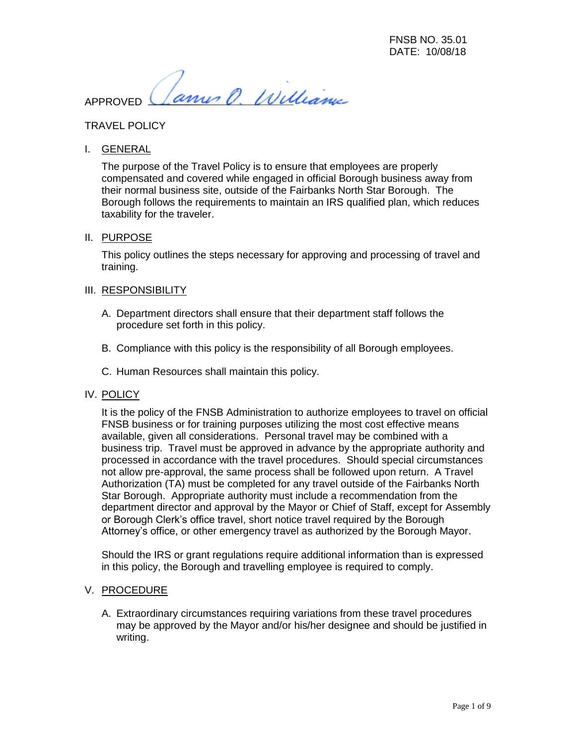Janus O. Williams APPROVED

# TRAVEL POLICY

I. GENERAL

The purpose of the Travel Policy is to ensure that employees are properly compensated and covered while engaged in official Borough business away from their normal business site, outside of the Fairbanks North Star Borough. The Borough follows the requirements to maintain an IRS qualified plan, which reduces taxability for the traveler.

## II. PURPOSE

This policy outlines the steps necessary for approving and processing of travel and training.

## III. RESPONSIBILITY

- A. Department directors shall ensure that their department staff follows the procedure set forth in this policy.
- B. Compliance with this policy is the responsibility of all Borough employees.
- C. Human Resources shall maintain this policy.

#### IV. POLICY

It is the policy of the FNSB Administration to authorize employees to travel on official FNSB business or for training purposes utilizing the most cost effective means available, given all considerations. Personal travel may be combined with a business trip. Travel must be approved in advance by the appropriate authority and processed in accordance with the travel procedures. Should special circumstances not allow pre-approval, the same process shall be followed upon return. A Travel Authorization (TA) must be completed for any travel outside of the Fairbanks North Star Borough. Appropriate authority must include a recommendation from the department director and approval by the Mayor or Chief of Staff, except for Assembly or Borough Clerk's office travel, short notice travel required by the Borough Attorney's office, or other emergency travel as authorized by the Borough Mayor.

Should the IRS or grant regulations require additional information than is expressed in this policy, the Borough and travelling employee is required to comply.

## V. PROCEDURE

A. Extraordinary circumstances requiring variations from these travel procedures may be approved by the Mayor and/or his/her designee and should be justified in writing.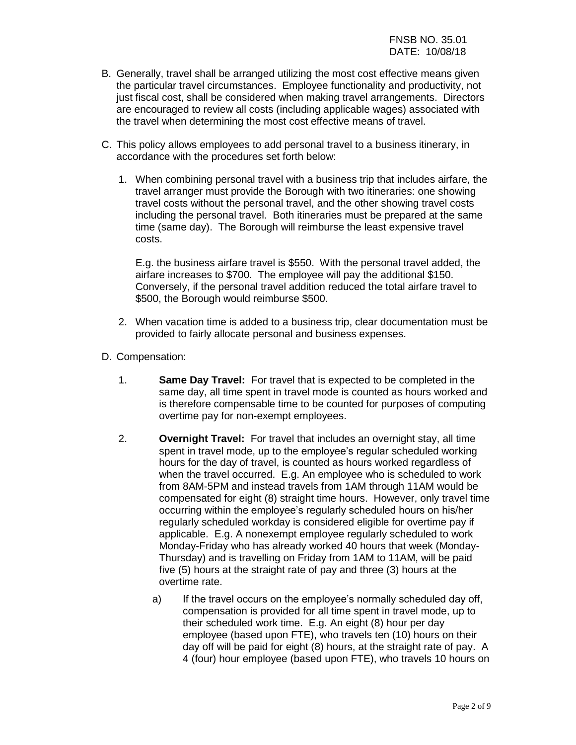- B. Generally, travel shall be arranged utilizing the most cost effective means given the particular travel circumstances. Employee functionality and productivity, not just fiscal cost, shall be considered when making travel arrangements. Directors are encouraged to review all costs (including applicable wages) associated with the travel when determining the most cost effective means of travel.
- C. This policy allows employees to add personal travel to a business itinerary, in accordance with the procedures set forth below:
	- 1. When combining personal travel with a business trip that includes airfare, the travel arranger must provide the Borough with two itineraries: one showing travel costs without the personal travel, and the other showing travel costs including the personal travel. Both itineraries must be prepared at the same time (same day). The Borough will reimburse the least expensive travel costs.

E.g. the business airfare travel is \$550. With the personal travel added, the airfare increases to \$700. The employee will pay the additional \$150. Conversely, if the personal travel addition reduced the total airfare travel to \$500, the Borough would reimburse \$500.

- 2. When vacation time is added to a business trip, clear documentation must be provided to fairly allocate personal and business expenses.
- D. Compensation:
	- 1. **Same Day Travel:** For travel that is expected to be completed in the same day, all time spent in travel mode is counted as hours worked and is therefore compensable time to be counted for purposes of computing overtime pay for non-exempt employees.
	- 2. **Overnight Travel:** For travel that includes an overnight stay, all time spent in travel mode, up to the employee's regular scheduled working hours for the day of travel, is counted as hours worked regardless of when the travel occurred. E.g. An employee who is scheduled to work from 8AM-5PM and instead travels from 1AM through 11AM would be compensated for eight (8) straight time hours. However, only travel time occurring within the employee's regularly scheduled hours on his/her regularly scheduled workday is considered eligible for overtime pay if applicable. E.g. A nonexempt employee regularly scheduled to work Monday-Friday who has already worked 40 hours that week (Monday-Thursday) and is travelling on Friday from 1AM to 11AM, will be paid five (5) hours at the straight rate of pay and three (3) hours at the overtime rate.
		- a) If the travel occurs on the employee's normally scheduled day off, compensation is provided for all time spent in travel mode, up to their scheduled work time. E.g. An eight (8) hour per day employee (based upon FTE), who travels ten (10) hours on their day off will be paid for eight (8) hours, at the straight rate of pay. A 4 (four) hour employee (based upon FTE), who travels 10 hours on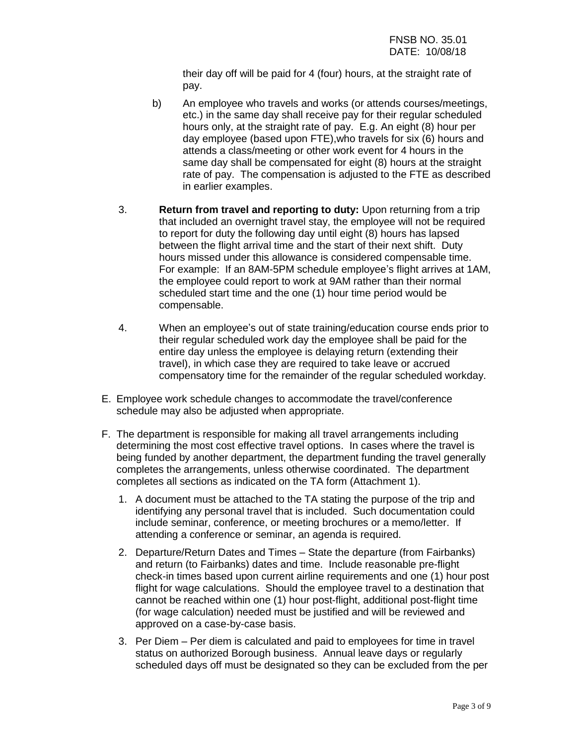their day off will be paid for 4 (four) hours, at the straight rate of pay.

- b) An employee who travels and works (or attends courses/meetings, etc.) in the same day shall receive pay for their regular scheduled hours only, at the straight rate of pay. E.g. An eight (8) hour per day employee (based upon FTE),who travels for six (6) hours and attends a class/meeting or other work event for 4 hours in the same day shall be compensated for eight (8) hours at the straight rate of pay. The compensation is adjusted to the FTE as described in earlier examples.
- 3. **Return from travel and reporting to duty:** Upon returning from a trip that included an overnight travel stay, the employee will not be required to report for duty the following day until eight (8) hours has lapsed between the flight arrival time and the start of their next shift. Duty hours missed under this allowance is considered compensable time. For example: If an 8AM-5PM schedule employee's flight arrives at 1AM, the employee could report to work at 9AM rather than their normal scheduled start time and the one (1) hour time period would be compensable.
- 4. When an employee's out of state training/education course ends prior to their regular scheduled work day the employee shall be paid for the entire day unless the employee is delaying return (extending their travel), in which case they are required to take leave or accrued compensatory time for the remainder of the regular scheduled workday.
- E. Employee work schedule changes to accommodate the travel/conference schedule may also be adjusted when appropriate.
- F. The department is responsible for making all travel arrangements including determining the most cost effective travel options. In cases where the travel is being funded by another department, the department funding the travel generally completes the arrangements, unless otherwise coordinated. The department completes all sections as indicated on the TA form (Attachment 1).
	- 1. A document must be attached to the TA stating the purpose of the trip and identifying any personal travel that is included. Such documentation could include seminar, conference, or meeting brochures or a memo/letter. If attending a conference or seminar, an agenda is required.
	- 2. Departure/Return Dates and Times State the departure (from Fairbanks) and return (to Fairbanks) dates and time. Include reasonable pre-flight check-in times based upon current airline requirements and one (1) hour post flight for wage calculations. Should the employee travel to a destination that cannot be reached within one (1) hour post-flight, additional post-flight time (for wage calculation) needed must be justified and will be reviewed and approved on a case-by-case basis.
	- 3. Per Diem Per diem is calculated and paid to employees for time in travel status on authorized Borough business. Annual leave days or regularly scheduled days off must be designated so they can be excluded from the per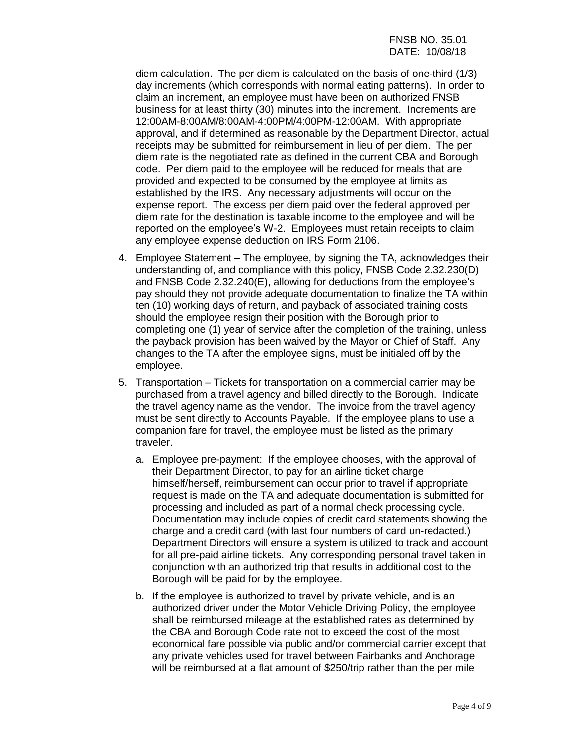diem calculation. The per diem is calculated on the basis of one-third (1/3) day increments (which corresponds with normal eating patterns). In order to claim an increment, an employee must have been on authorized FNSB business for at least thirty (30) minutes into the increment. Increments are 12:00AM-8:00AM/8:00AM-4:00PM/4:00PM-12:00AM. With appropriate approval, and if determined as reasonable by the Department Director, actual receipts may be submitted for reimbursement in lieu of per diem. The per diem rate is the negotiated rate as defined in the current CBA and Borough code. Per diem paid to the employee will be reduced for meals that are provided and expected to be consumed by the employee at limits as established by the IRS. Any necessary adjustments will occur on the expense report. The excess per diem paid over the federal approved per diem rate for the destination is taxable income to the employee and will be reported on the employee's W-2. Employees must retain receipts to claim any employee expense deduction on IRS Form 2106.

- 4. Employee Statement The employee, by signing the TA, acknowledges their understanding of, and compliance with this policy, FNSB Code 2.32.230(D) and FNSB Code 2.32.240(E), allowing for deductions from the employee's pay should they not provide adequate documentation to finalize the TA within ten (10) working days of return, and payback of associated training costs should the employee resign their position with the Borough prior to completing one (1) year of service after the completion of the training, unless the payback provision has been waived by the Mayor or Chief of Staff. Any changes to the TA after the employee signs, must be initialed off by the employee.
- 5. Transportation Tickets for transportation on a commercial carrier may be purchased from a travel agency and billed directly to the Borough. Indicate the travel agency name as the vendor. The invoice from the travel agency must be sent directly to Accounts Payable. If the employee plans to use a companion fare for travel, the employee must be listed as the primary traveler.
	- a. Employee pre-payment: If the employee chooses, with the approval of their Department Director, to pay for an airline ticket charge himself/herself, reimbursement can occur prior to travel if appropriate request is made on the TA and adequate documentation is submitted for processing and included as part of a normal check processing cycle. Documentation may include copies of credit card statements showing the charge and a credit card (with last four numbers of card un-redacted.) Department Directors will ensure a system is utilized to track and account for all pre-paid airline tickets. Any corresponding personal travel taken in conjunction with an authorized trip that results in additional cost to the Borough will be paid for by the employee.
	- b. If the employee is authorized to travel by private vehicle, and is an authorized driver under the Motor Vehicle Driving Policy, the employee shall be reimbursed mileage at the established rates as determined by the CBA and Borough Code rate not to exceed the cost of the most economical fare possible via public and/or commercial carrier except that any private vehicles used for travel between Fairbanks and Anchorage will be reimbursed at a flat amount of \$250/trip rather than the per mile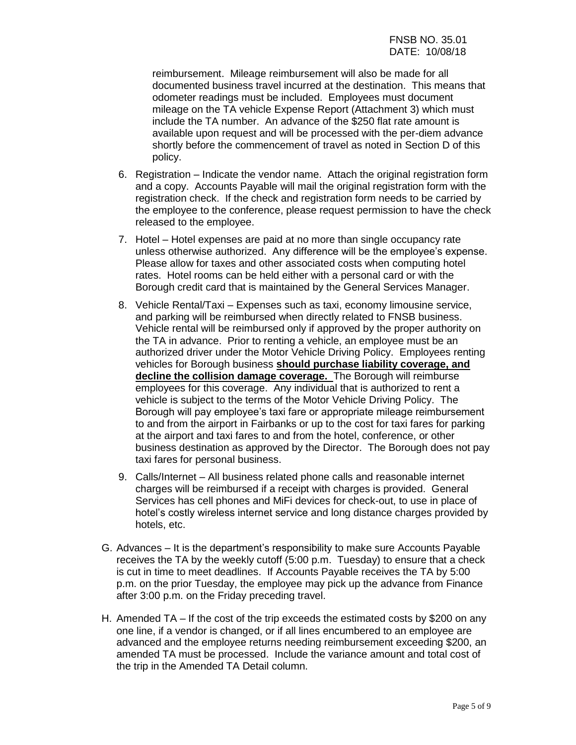reimbursement. Mileage reimbursement will also be made for all documented business travel incurred at the destination. This means that odometer readings must be included. Employees must document mileage on the TA vehicle Expense Report (Attachment 3) which must include the TA number. An advance of the \$250 flat rate amount is available upon request and will be processed with the per-diem advance shortly before the commencement of travel as noted in Section D of this policy.

- 6. Registration Indicate the vendor name. Attach the original registration form and a copy. Accounts Payable will mail the original registration form with the registration check. If the check and registration form needs to be carried by the employee to the conference, please request permission to have the check released to the employee.
- 7. Hotel Hotel expenses are paid at no more than single occupancy rate unless otherwise authorized. Any difference will be the employee's expense. Please allow for taxes and other associated costs when computing hotel rates. Hotel rooms can be held either with a personal card or with the Borough credit card that is maintained by the General Services Manager.
- 8. Vehicle Rental/Taxi Expenses such as taxi, economy limousine service, and parking will be reimbursed when directly related to FNSB business. Vehicle rental will be reimbursed only if approved by the proper authority on the TA in advance. Prior to renting a vehicle, an employee must be an authorized driver under the Motor Vehicle Driving Policy. Employees renting vehicles for Borough business **should purchase liability coverage, and decline the collision damage coverage.** The Borough will reimburse employees for this coverage. Any individual that is authorized to rent a vehicle is subject to the terms of the Motor Vehicle Driving Policy. The Borough will pay employee's taxi fare or appropriate mileage reimbursement to and from the airport in Fairbanks or up to the cost for taxi fares for parking at the airport and taxi fares to and from the hotel, conference, or other business destination as approved by the Director. The Borough does not pay taxi fares for personal business.
- 9. Calls/Internet All business related phone calls and reasonable internet charges will be reimbursed if a receipt with charges is provided. General Services has cell phones and MiFi devices for check-out, to use in place of hotel's costly wireless internet service and long distance charges provided by hotels, etc.
- G. Advances It is the department's responsibility to make sure Accounts Payable receives the TA by the weekly cutoff (5:00 p.m. Tuesday) to ensure that a check is cut in time to meet deadlines. If Accounts Payable receives the TA by 5:00 p.m. on the prior Tuesday, the employee may pick up the advance from Finance after 3:00 p.m. on the Friday preceding travel.
- H. Amended TA If the cost of the trip exceeds the estimated costs by \$200 on any one line, if a vendor is changed, or if all lines encumbered to an employee are advanced and the employee returns needing reimbursement exceeding \$200, an amended TA must be processed. Include the variance amount and total cost of the trip in the Amended TA Detail column.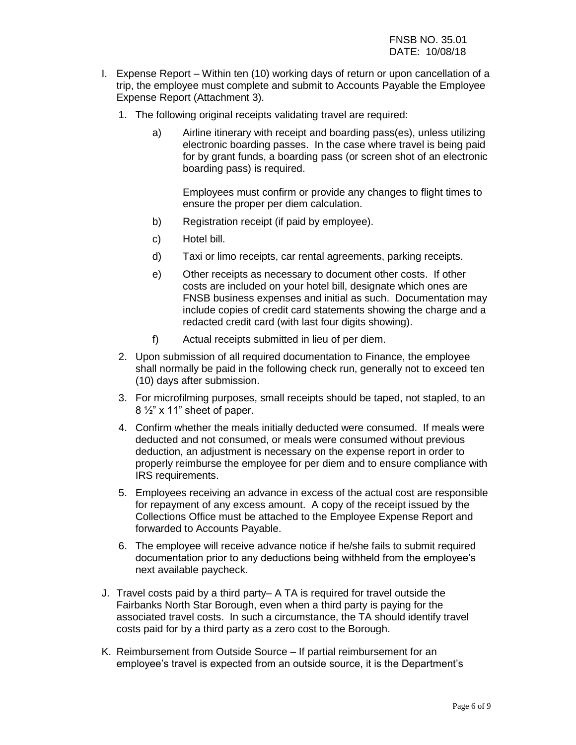- I. Expense Report Within ten (10) working days of return or upon cancellation of a trip, the employee must complete and submit to Accounts Payable the Employee Expense Report (Attachment 3).
	- 1. The following original receipts validating travel are required:
		- a) Airline itinerary with receipt and boarding pass(es), unless utilizing electronic boarding passes. In the case where travel is being paid for by grant funds, a boarding pass (or screen shot of an electronic boarding pass) is required.

Employees must confirm or provide any changes to flight times to ensure the proper per diem calculation.

- b) Registration receipt (if paid by employee).
- c) Hotel bill.
- d) Taxi or limo receipts, car rental agreements, parking receipts.
- e) Other receipts as necessary to document other costs. If other costs are included on your hotel bill, designate which ones are FNSB business expenses and initial as such. Documentation may include copies of credit card statements showing the charge and a redacted credit card (with last four digits showing).
- f) Actual receipts submitted in lieu of per diem.
- 2. Upon submission of all required documentation to Finance, the employee shall normally be paid in the following check run, generally not to exceed ten (10) days after submission.
- 3. For microfilming purposes, small receipts should be taped, not stapled, to an 8 ½" x 11" sheet of paper.
- 4. Confirm whether the meals initially deducted were consumed. If meals were deducted and not consumed, or meals were consumed without previous deduction, an adjustment is necessary on the expense report in order to properly reimburse the employee for per diem and to ensure compliance with IRS requirements.
- 5. Employees receiving an advance in excess of the actual cost are responsible for repayment of any excess amount. A copy of the receipt issued by the Collections Office must be attached to the Employee Expense Report and forwarded to Accounts Payable.
- 6. The employee will receive advance notice if he/she fails to submit required documentation prior to any deductions being withheld from the employee's next available paycheck.
- J. Travel costs paid by a third party– A TA is required for travel outside the Fairbanks North Star Borough, even when a third party is paying for the associated travel costs. In such a circumstance, the TA should identify travel costs paid for by a third party as a zero cost to the Borough.
- K. Reimbursement from Outside Source If partial reimbursement for an employee's travel is expected from an outside source, it is the Department's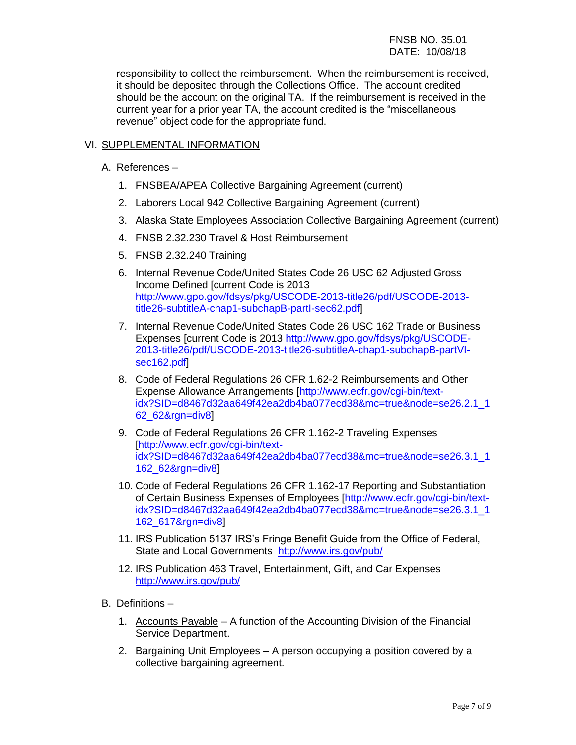# FNSB NO. 35.01 DATE: 10/08/18

responsibility to collect the reimbursement. When the reimbursement is received, it should be deposited through the Collections Office. The account credited should be the account on the original TA. If the reimbursement is received in the current year for a prior year TA, the account credited is the "miscellaneous revenue" object code for the appropriate fund.

# VI. SUPPLEMENTAL INFORMATION

- A. References
	- 1. FNSBEA/APEA Collective Bargaining Agreement (current)
	- 2. Laborers Local 942 Collective Bargaining Agreement (current)
	- 3. Alaska State Employees Association Collective Bargaining Agreement (current)
	- 4. FNSB 2.32.230 Travel & Host Reimbursement
	- 5. FNSB 2.32.240 Training
	- 6. Internal Revenue Code/United States Code 26 USC 62 Adjusted Gross Income Defined [current Code is 2013 [http://www.gpo.gov/fdsys/pkg/USCODE-2013-title26/pdf/USCODE-2013](http://www.gpo.gov/fdsys/pkg/USCODE-2013-title26/pdf/USCODE-2013-title26-subtitleA-chap1-subchapB-partI-sec62.pdf) [title26-subtitleA-chap1-subchapB-partI-sec62.pdf\]](http://www.gpo.gov/fdsys/pkg/USCODE-2013-title26/pdf/USCODE-2013-title26-subtitleA-chap1-subchapB-partI-sec62.pdf)
	- 7. Internal Revenue Code/United States Code 26 USC 162 Trade or Business Expenses [current Code is 2013 [http://www.gpo.gov/fdsys/pkg/USCODE-](http://www.gpo.gov/fdsys/pkg/USCODE-2013-title26/pdf/USCODE-2013-title26-subtitleA-chap1-subchapB-partVI-sec162.pdf)[2013-title26/pdf/USCODE-2013-title26-subtitleA-chap1-subchapB-partVI](http://www.gpo.gov/fdsys/pkg/USCODE-2013-title26/pdf/USCODE-2013-title26-subtitleA-chap1-subchapB-partVI-sec162.pdf)[sec162.pdf\]](http://www.gpo.gov/fdsys/pkg/USCODE-2013-title26/pdf/USCODE-2013-title26-subtitleA-chap1-subchapB-partVI-sec162.pdf)
	- 8. Code of Federal Regulations 26 CFR 1.62-2 Reimbursements and Other Expense Allowance Arrangements [\[http://www.ecfr.gov/cgi-bin/text](http://www.ecfr.gov/cgi-bin/text-idx?SID=d8467d32aa649f42ea2db4ba077ecd38&mc=true&node=se26.2.1_162_62&rgn=div8)[idx?SID=d8467d32aa649f42ea2db4ba077ecd38&mc=true&node=se26.2.1\\_1](http://www.ecfr.gov/cgi-bin/text-idx?SID=d8467d32aa649f42ea2db4ba077ecd38&mc=true&node=se26.2.1_162_62&rgn=div8) [62\\_62&rgn=div8\]](http://www.ecfr.gov/cgi-bin/text-idx?SID=d8467d32aa649f42ea2db4ba077ecd38&mc=true&node=se26.2.1_162_62&rgn=div8)
	- 9. Code of Federal Regulations 26 CFR 1.162-2 Traveling Expenses [\[http://www.ecfr.gov/cgi-bin/text](http://www.ecfr.gov/cgi-bin/text-idx?SID=d8467d32aa649f42ea2db4ba077ecd38&mc=true&node=se26.3.1_1162_62&rgn=div8)[idx?SID=d8467d32aa649f42ea2db4ba077ecd38&mc=true&node=se26.3.1\\_1](http://www.ecfr.gov/cgi-bin/text-idx?SID=d8467d32aa649f42ea2db4ba077ecd38&mc=true&node=se26.3.1_1162_62&rgn=div8) [162\\_62&rgn=div8\]](http://www.ecfr.gov/cgi-bin/text-idx?SID=d8467d32aa649f42ea2db4ba077ecd38&mc=true&node=se26.3.1_1162_62&rgn=div8)
	- 10. Code of Federal Regulations 26 CFR 1.162-17 Reporting and Substantiation of Certain Business Expenses of Employees [\[http://www.ecfr.gov/cgi-bin/text](http://www.ecfr.gov/cgi-bin/text-idx?SID=d8467d32aa649f42ea2db4ba077ecd38&mc=true&node=se26.3.1_1162_617&rgn=div8)[idx?SID=d8467d32aa649f42ea2db4ba077ecd38&mc=true&node=se26.3.1\\_1](http://www.ecfr.gov/cgi-bin/text-idx?SID=d8467d32aa649f42ea2db4ba077ecd38&mc=true&node=se26.3.1_1162_617&rgn=div8) [162\\_617&rgn=div8\]](http://www.ecfr.gov/cgi-bin/text-idx?SID=d8467d32aa649f42ea2db4ba077ecd38&mc=true&node=se26.3.1_1162_617&rgn=div8)
	- 11. IRS Publication 5137 IRS's Fringe Benefit Guide from the Office of Federal, State and Local Governments <http://www.irs.gov/pub/>
	- 12. IRS Publication 463 Travel, Entertainment, Gift, and Car Expenses <http://www.irs.gov/pub/>
- B. Definitions
	- 1. Accounts Payable A function of the Accounting Division of the Financial Service Department.
	- 2. Bargaining Unit Employees A person occupying a position covered by a collective bargaining agreement.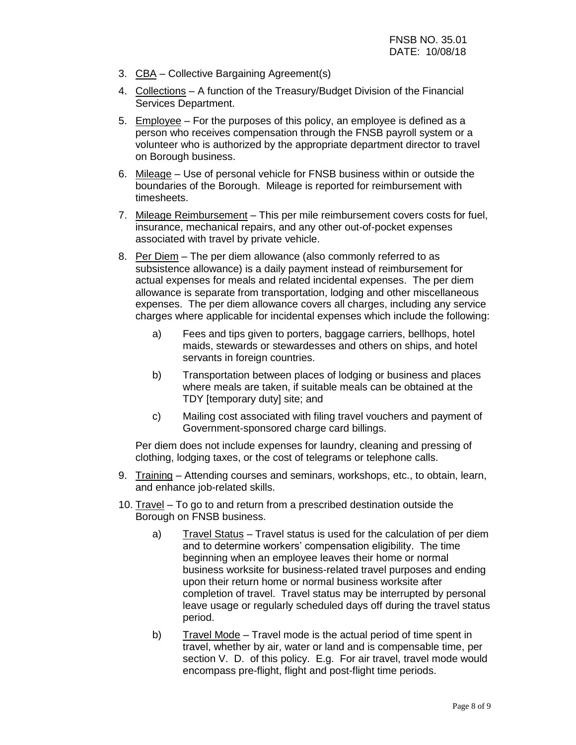- 3. CBA Collective Bargaining Agreement(s)
- 4. Collections A function of the Treasury/Budget Division of the Financial Services Department.
- 5. Employee For the purposes of this policy, an employee is defined as a person who receives compensation through the FNSB payroll system or a volunteer who is authorized by the appropriate department director to travel on Borough business.
- 6. Mileage Use of personal vehicle for FNSB business within or outside the boundaries of the Borough. Mileage is reported for reimbursement with timesheets.
- 7. Mileage Reimbursement This per mile reimbursement covers costs for fuel, insurance, mechanical repairs, and any other out-of-pocket expenses associated with travel by private vehicle.
- 8. Per Diem The per diem allowance (also commonly referred to as subsistence allowance) is a daily payment instead of reimbursement for actual expenses for meals and related incidental expenses. The per diem allowance is separate from transportation, lodging and other miscellaneous expenses. The per diem allowance covers all charges, including any service charges where applicable for incidental expenses which include the following:
	- a) Fees and tips given to porters, baggage carriers, bellhops, hotel maids, stewards or stewardesses and others on ships, and hotel servants in foreign countries.
	- b) Transportation between places of lodging or business and places where meals are taken, if suitable meals can be obtained at the TDY [temporary duty] site; and
	- c) Mailing cost associated with filing travel vouchers and payment of Government-sponsored charge card billings.

Per diem does not include expenses for laundry, cleaning and pressing of clothing, lodging taxes, or the cost of telegrams or telephone calls.

- 9. Training Attending courses and seminars, workshops, etc., to obtain, learn, and enhance job-related skills.
- 10. Travel To go to and return from a prescribed destination outside the Borough on FNSB business.
	- a) Travel Status Travel status is used for the calculation of per diem and to determine workers' compensation eligibility. The time beginning when an employee leaves their home or normal business worksite for business-related travel purposes and ending upon their return home or normal business worksite after completion of travel. Travel status may be interrupted by personal leave usage or regularly scheduled days off during the travel status period.
	- b) Travel Mode Travel mode is the actual period of time spent in travel, whether by air, water or land and is compensable time, per section V. D. of this policy. E.g. For air travel, travel mode would encompass pre-flight, flight and post-flight time periods.